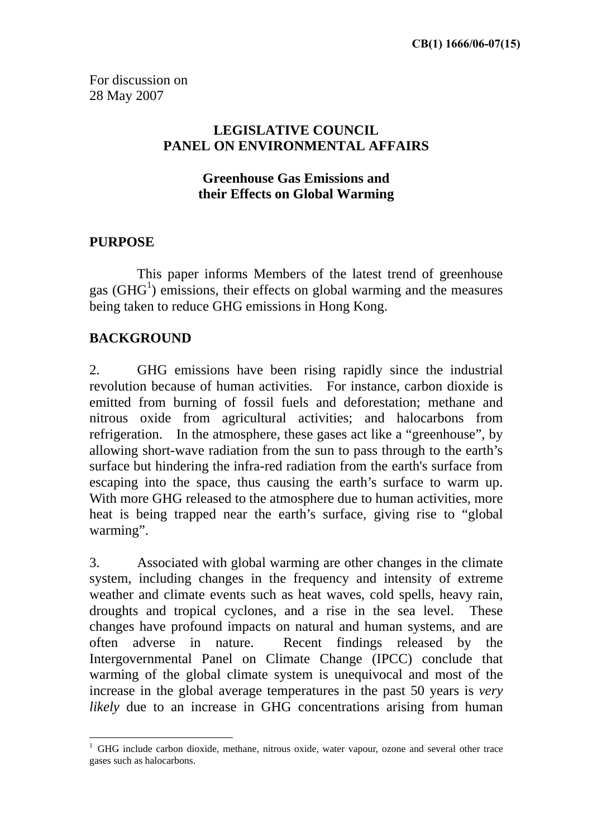For discussion on 28 May 2007

#### **LEGISLATIVE COUNCIL PANEL ON ENVIRONMENTAL AFFAIRS**

#### **Greenhouse Gas Emissions and their Effects on Global Warming**

#### **PURPOSE**

 $\overline{a}$ 

This paper informs Members of the latest trend of greenhouse gas  $(GHG<sup>1</sup>)$  emissions, their effects on global warming and the measures being taken to reduce GHG emissions in Hong Kong.

#### **BACKGROUND**

2. GHG emissions have been rising rapidly since the industrial revolution because of human activities. For instance, carbon dioxide is emitted from burning of fossil fuels and deforestation; methane and nitrous oxide from agricultural activities; and halocarbons from refrigeration. In the atmosphere, these gases act like a "greenhouse", by allowing short-wave radiation from the sun to pass through to the earth's surface but hindering the infra-red radiation from the earth's surface from escaping into the space, thus causing the earth's surface to warm up. With more GHG released to the atmosphere due to human activities, more heat is being trapped near the earth's surface, giving rise to "global warming".

3. Associated with global warming are other changes in the climate system, including changes in the frequency and intensity of extreme weather and climate events such as heat waves, cold spells, heavy rain, droughts and tropical cyclones, and a rise in the sea level. These changes have profound impacts on natural and human systems, and are often adverse in nature. Recent findings released by the Intergovernmental Panel on Climate Change (IPCC) conclude that warming of the global climate system is unequivocal and most of the increase in the global average temperatures in the past 50 years is *very likely* due to an increase in GHG concentrations arising from human

<sup>&</sup>lt;sup>1</sup> GHG include carbon dioxide, methane, nitrous oxide, water vapour, ozone and several other trace gases such as halocarbons.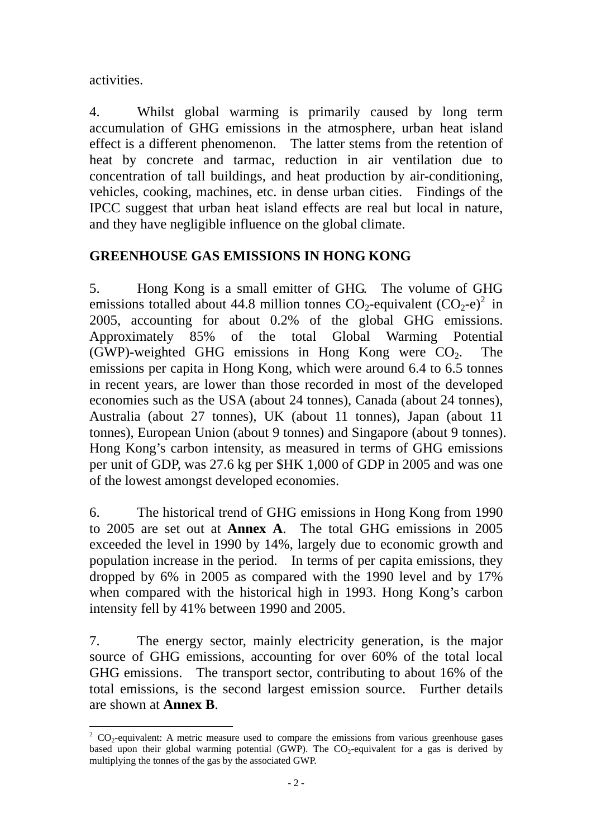activities.

 $\overline{a}$ 

4. Whilst global warming is primarily caused by long term accumulation of GHG emissions in the atmosphere, urban heat island effect is a different phenomenon. The latter stems from the retention of heat by concrete and tarmac, reduction in air ventilation due to concentration of tall buildings, and heat production by air-conditioning, vehicles, cooking, machines, etc. in dense urban cities. Findings of the IPCC suggest that urban heat island effects are real but local in nature, and they have negligible influence on the global climate.

### **GREENHOUSE GAS EMISSIONS IN HONG KONG**

5. Hong Kong is a small emitter of GHG. The volume of GHG emissions totalled about 44.8 million tonnes  $CO_2$ -equivalent  $(CO_2-e)^2$  in 2005, accounting for about 0.2% of the global GHG emissions. Approximately 85% of the total Global Warming Potential (GWP)-weighted GHG emissions in Hong Kong were  $CO<sub>2</sub>$ . The emissions per capita in Hong Kong, which were around 6.4 to 6.5 tonnes in recent years, are lower than those recorded in most of the developed economies such as the USA (about 24 tonnes), Canada (about 24 tonnes), Australia (about 27 tonnes), UK (about 11 tonnes), Japan (about 11 tonnes), European Union (about 9 tonnes) and Singapore (about 9 tonnes). Hong Kong's carbon intensity, as measured in terms of GHG emissions per unit of GDP, was 27.6 kg per \$HK 1,000 of GDP in 2005 and was one of the lowest amongst developed economies.

6. The historical trend of GHG emissions in Hong Kong from 1990 to 2005 are set out at **Annex A**. The total GHG emissions in 2005 exceeded the level in 1990 by 14%, largely due to economic growth and population increase in the period. In terms of per capita emissions, they dropped by 6% in 2005 as compared with the 1990 level and by 17% when compared with the historical high in 1993. Hong Kong's carbon intensity fell by 41% between 1990 and 2005.

7. The energy sector, mainly electricity generation, is the major source of GHG emissions, accounting for over 60% of the total local GHG emissions. The transport sector, contributing to about 16% of the total emissions, is the second largest emission source. Further details are shown at **Annex B**.

 $2^2$  CO<sub>2</sub>-equivalent: A metric measure used to compare the emissions from various greenhouse gases based upon their global warming potential (GWP). The CO<sub>2</sub>-equivalent for a gas is derived by multiplying the tonnes of the gas by the associated GWP.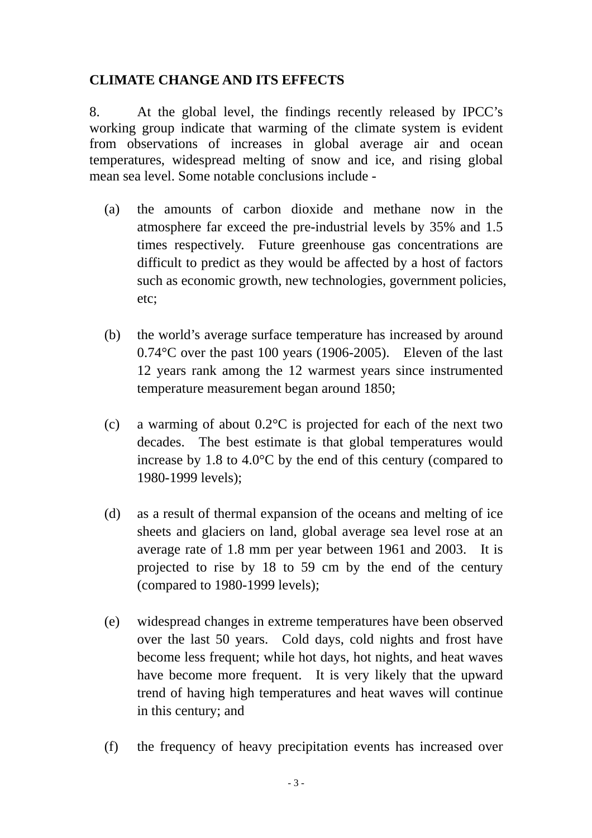### **CLIMATE CHANGE AND ITS EFFECTS**

8. At the global level, the findings recently released by IPCC's working group indicate that warming of the climate system is evident from observations of increases in global average air and ocean temperatures, widespread melting of snow and ice, and rising global mean sea level. Some notable conclusions include -

- (a) the amounts of carbon dioxide and methane now in the atmosphere far exceed the pre-industrial levels by 35% and 1.5 times respectively. Future greenhouse gas concentrations are difficult to predict as they would be affected by a host of factors such as economic growth, new technologies, government policies, etc;
- (b) the world's average surface temperature has increased by around 0.74°C over the past 100 years (1906-2005). Eleven of the last 12 years rank among the 12 warmest years since instrumented temperature measurement began around 1850;
- (c) a warming of about  $0.2^{\circ}$ C is projected for each of the next two decades. The best estimate is that global temperatures would increase by 1.8 to 4.0°C by the end of this century (compared to 1980-1999 levels);
- (d) as a result of thermal expansion of the oceans and melting of ice sheets and glaciers on land, global average sea level rose at an average rate of 1.8 mm per year between 1961 and 2003. It is projected to rise by 18 to 59 cm by the end of the century (compared to 1980-1999 levels);
- (e) widespread changes in extreme temperatures have been observed over the last 50 years. Cold days, cold nights and frost have become less frequent; while hot days, hot nights, and heat waves have become more frequent. It is very likely that the upward trend of having high temperatures and heat waves will continue in this century; and
- (f) the frequency of heavy precipitation events has increased over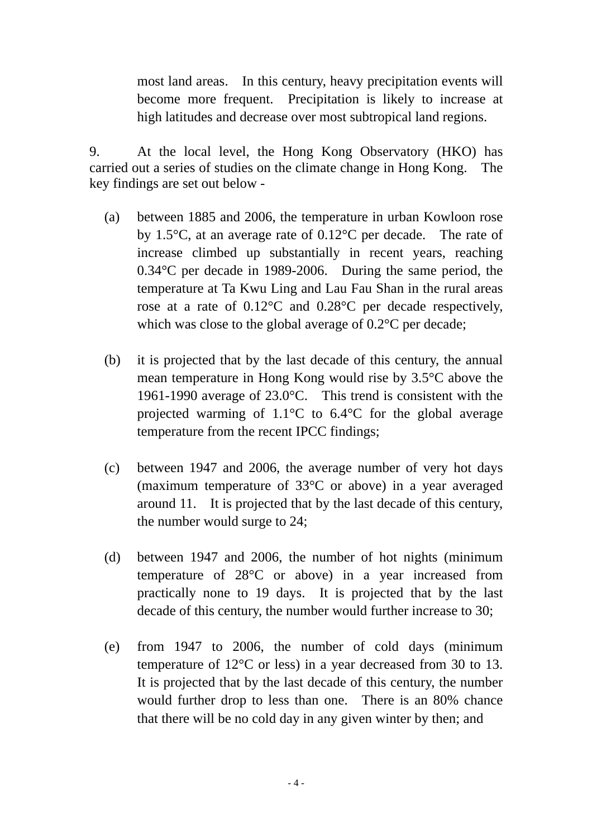most land areas. In this century, heavy precipitation events will become more frequent. Precipitation is likely to increase at high latitudes and decrease over most subtropical land regions.

9. At the local level, the Hong Kong Observatory (HKO) has carried out a series of studies on the climate change in Hong Kong. The key findings are set out below -

- (a) between 1885 and 2006, the temperature in urban Kowloon rose by 1.5°C, at an average rate of 0.12°C per decade. The rate of increase climbed up substantially in recent years, reaching 0.34°C per decade in 1989-2006. During the same period, the temperature at Ta Kwu Ling and Lau Fau Shan in the rural areas rose at a rate of 0.12°C and 0.28°C per decade respectively, which was close to the global average of  $0.2^{\circ}$ C per decade;
- (b) it is projected that by the last decade of this century, the annual mean temperature in Hong Kong would rise by 3.5°C above the 1961-1990 average of 23.0°C. This trend is consistent with the projected warming of 1.1°C to 6.4°C for the global average temperature from the recent IPCC findings;
- (c) between 1947 and 2006, the average number of very hot days (maximum temperature of 33°C or above) in a year averaged around 11. It is projected that by the last decade of this century, the number would surge to 24;
- (d) between 1947 and 2006, the number of hot nights (minimum temperature of 28°C or above) in a year increased from practically none to 19 days. It is projected that by the last decade of this century, the number would further increase to 30;
- (e) from 1947 to 2006, the number of cold days (minimum temperature of 12°C or less) in a year decreased from 30 to 13. It is projected that by the last decade of this century, the number would further drop to less than one. There is an 80% chance that there will be no cold day in any given winter by then; and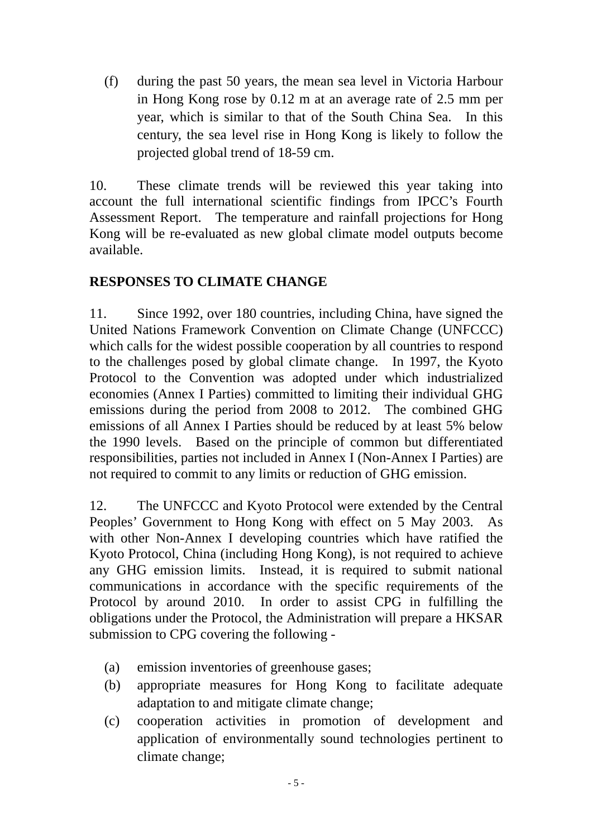(f) during the past 50 years, the mean sea level in Victoria Harbour in Hong Kong rose by 0.12 m at an average rate of 2.5 mm per year, which is similar to that of the South China Sea. In this century, the sea level rise in Hong Kong is likely to follow the projected global trend of 18-59 cm.

10. These climate trends will be reviewed this year taking into account the full international scientific findings from IPCC's Fourth Assessment Report. The temperature and rainfall projections for Hong Kong will be re-evaluated as new global climate model outputs become available.

## **RESPONSES TO CLIMATE CHANGE**

11. Since 1992, over 180 countries, including China, have signed the United Nations Framework Convention on Climate Change (UNFCCC) which calls for the widest possible cooperation by all countries to respond to the challenges posed by global climate change. In 1997, the Kyoto Protocol to the Convention was adopted under which industrialized economies (Annex I Parties) committed to limiting their individual GHG emissions during the period from 2008 to 2012. The combined GHG emissions of all Annex I Parties should be reduced by at least 5% below the 1990 levels. Based on the principle of common but differentiated responsibilities, parties not included in Annex I (Non-Annex I Parties) are not required to commit to any limits or reduction of GHG emission.

12. The UNFCCC and Kyoto Protocol were extended by the Central Peoples' Government to Hong Kong with effect on 5 May 2003. As with other Non-Annex I developing countries which have ratified the Kyoto Protocol, China (including Hong Kong), is not required to achieve any GHG emission limits. Instead, it is required to submit national communications in accordance with the specific requirements of the Protocol by around 2010. In order to assist CPG in fulfilling the obligations under the Protocol, the Administration will prepare a HKSAR submission to CPG covering the following -

- (a) emission inventories of greenhouse gases;
- (b) appropriate measures for Hong Kong to facilitate adequate adaptation to and mitigate climate change;
- (c) cooperation activities in promotion of development and application of environmentally sound technologies pertinent to climate change;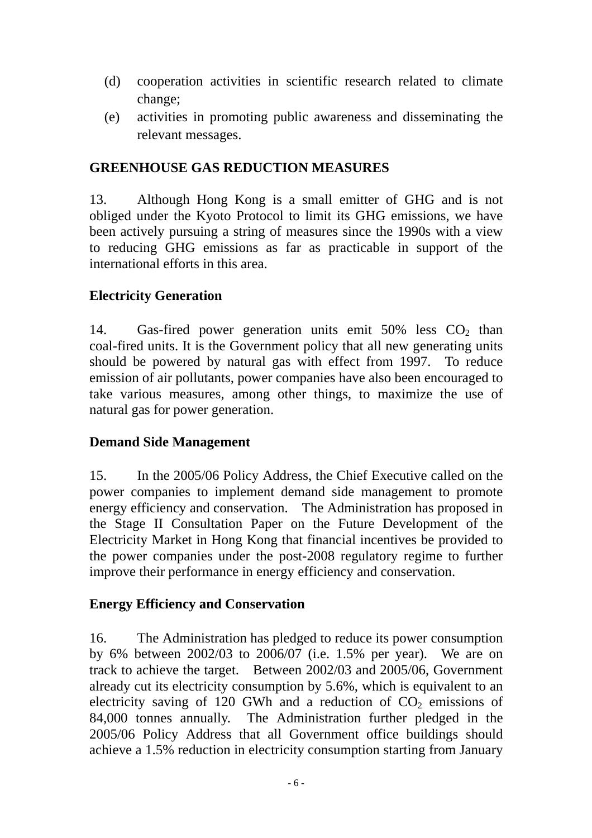- (d) cooperation activities in scientific research related to climate change;
- (e) activities in promoting public awareness and disseminating the relevant messages.

### **GREENHOUSE GAS REDUCTION MEASURES**

13. Although Hong Kong is a small emitter of GHG and is not obliged under the Kyoto Protocol to limit its GHG emissions, we have been actively pursuing a string of measures since the 1990s with a view to reducing GHG emissions as far as practicable in support of the international efforts in this area.

#### **Electricity Generation**

14. Gas-fired power generation units emit  $50\%$  less  $CO<sub>2</sub>$  than coal-fired units. It is the Government policy that all new generating units should be powered by natural gas with effect from 1997. To reduce emission of air pollutants, power companies have also been encouraged to take various measures, among other things, to maximize the use of natural gas for power generation.

#### **Demand Side Management**

15. In the 2005/06 Policy Address, the Chief Executive called on the power companies to implement demand side management to promote energy efficiency and conservation. The Administration has proposed in the Stage II Consultation Paper on the Future Development of the Electricity Market in Hong Kong that financial incentives be provided to the power companies under the post-2008 regulatory regime to further improve their performance in energy efficiency and conservation.

#### **Energy Efficiency and Conservation**

16. The Administration has pledged to reduce its power consumption by 6% between 2002/03 to 2006/07 (i.e. 1.5% per year). We are on track to achieve the target. Between 2002/03 and 2005/06, Government already cut its electricity consumption by 5.6%, which is equivalent to an electricity saving of 120 GWh and a reduction of  $CO<sub>2</sub>$  emissions of 84,000 tonnes annually. The Administration further pledged in the 2005/06 Policy Address that all Government office buildings should achieve a 1.5% reduction in electricity consumption starting from January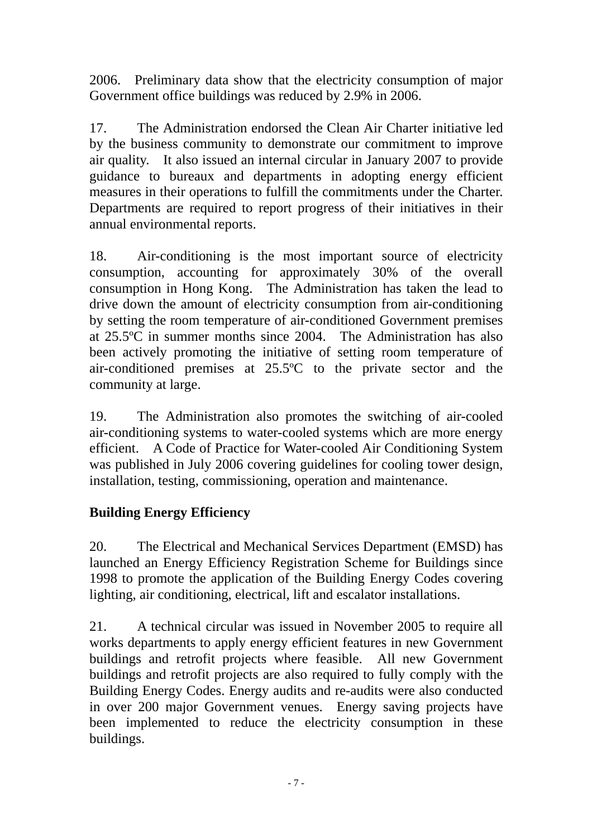2006. Preliminary data show that the electricity consumption of major Government office buildings was reduced by 2.9% in 2006.

17. The Administration endorsed the Clean Air Charter initiative led by the business community to demonstrate our commitment to improve air quality. It also issued an internal circular in January 2007 to provide guidance to bureaux and departments in adopting energy efficient measures in their operations to fulfill the commitments under the Charter. Departments are required to report progress of their initiatives in their annual environmental reports.

18. Air-conditioning is the most important source of electricity consumption, accounting for approximately 30% of the overall consumption in Hong Kong. The Administration has taken the lead to drive down the amount of electricity consumption from air-conditioning by setting the room temperature of air-conditioned Government premises at 25.5ºC in summer months since 2004. The Administration has also been actively promoting the initiative of setting room temperature of air-conditioned premises at 25.5ºC to the private sector and the community at large.

19. The Administration also promotes the switching of air-cooled air-conditioning systems to water-cooled systems which are more energy efficient. A Code of Practice for Water-cooled Air Conditioning System was published in July 2006 covering guidelines for cooling tower design, installation, testing, commissioning, operation and maintenance.

# **Building Energy Efficiency**

20. The Electrical and Mechanical Services Department (EMSD) has launched an Energy Efficiency Registration Scheme for Buildings since 1998 to promote the application of the Building Energy Codes covering lighting, air conditioning, electrical, lift and escalator installations.

21. A technical circular was issued in November 2005 to require all works departments to apply energy efficient features in new Government buildings and retrofit projects where feasible. All new Government buildings and retrofit projects are also required to fully comply with the Building Energy Codes. Energy audits and re-audits were also conducted in over 200 major Government venues. Energy saving projects have been implemented to reduce the electricity consumption in these buildings.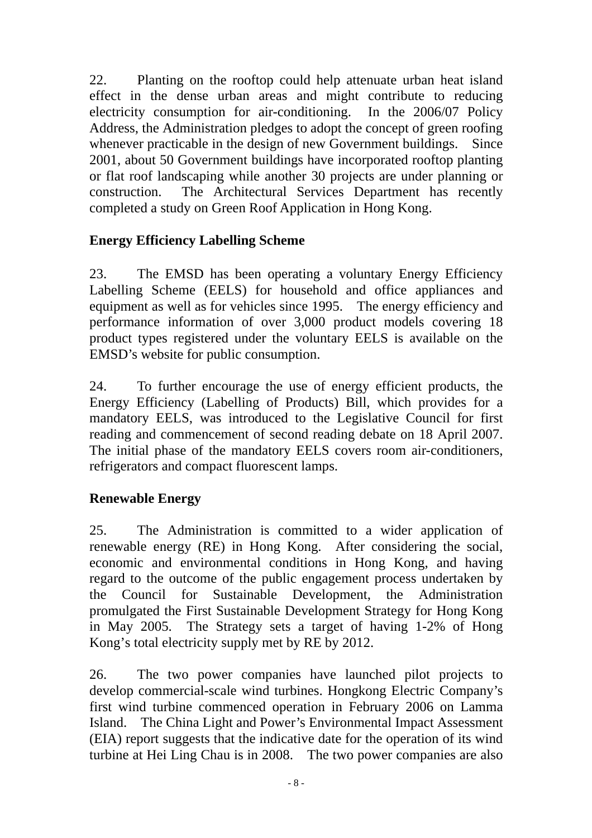22. Planting on the rooftop could help attenuate urban heat island effect in the dense urban areas and might contribute to reducing electricity consumption for air-conditioning. In the 2006/07 Policy Address, the Administration pledges to adopt the concept of green roofing whenever practicable in the design of new Government buildings. Since 2001, about 50 Government buildings have incorporated rooftop planting or flat roof landscaping while another 30 projects are under planning or construction. The Architectural Services Department has recently completed a study on Green Roof Application in Hong Kong.

## **Energy Efficiency Labelling Scheme**

23. The EMSD has been operating a voluntary Energy Efficiency Labelling Scheme (EELS) for household and office appliances and equipment as well as for vehicles since 1995. The energy efficiency and performance information of over 3,000 product models covering 18 product types registered under the voluntary EELS is available on the EMSD's website for public consumption.

24. To further encourage the use of energy efficient products, the Energy Efficiency (Labelling of Products) Bill, which provides for a mandatory EELS, was introduced to the Legislative Council for first reading and commencement of second reading debate on 18 April 2007. The initial phase of the mandatory EELS covers room air-conditioners, refrigerators and compact fluorescent lamps.

# **Renewable Energy**

25. The Administration is committed to a wider application of renewable energy (RE) in Hong Kong. After considering the social, economic and environmental conditions in Hong Kong, and having regard to the outcome of the public engagement process undertaken by the Council for Sustainable Development, the Administration promulgated the First Sustainable Development Strategy for Hong Kong in May 2005. The Strategy sets a target of having 1-2% of Hong Kong's total electricity supply met by RE by 2012.

26. The two power companies have launched pilot projects to develop commercial-scale wind turbines. Hongkong Electric Company's first wind turbine commenced operation in February 2006 on Lamma Island. The China Light and Power's Environmental Impact Assessment (EIA) report suggests that the indicative date for the operation of its wind turbine at Hei Ling Chau is in 2008. The two power companies are also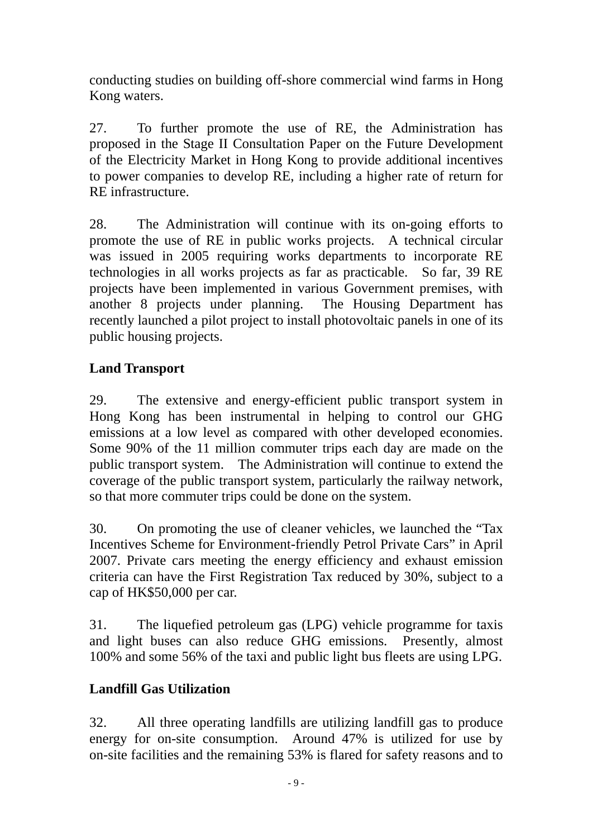conducting studies on building off-shore commercial wind farms in Hong Kong waters.

27. To further promote the use of RE, the Administration has proposed in the Stage II Consultation Paper on the Future Development of the Electricity Market in Hong Kong to provide additional incentives to power companies to develop RE, including a higher rate of return for RE infrastructure.

28. The Administration will continue with its on-going efforts to promote the use of RE in public works projects. A technical circular was issued in 2005 requiring works departments to incorporate RE technologies in all works projects as far as practicable. So far, 39 RE projects have been implemented in various Government premises, with another 8 projects under planning. The Housing Department has recently launched a pilot project to install photovoltaic panels in one of its public housing projects.

# **Land Transport**

29. The extensive and energy-efficient public transport system in Hong Kong has been instrumental in helping to control our GHG emissions at a low level as compared with other developed economies. Some 90% of the 11 million commuter trips each day are made on the public transport system. The Administration will continue to extend the coverage of the public transport system, particularly the railway network, so that more commuter trips could be done on the system.

30. On promoting the use of cleaner vehicles, we launched the "Tax Incentives Scheme for Environment-friendly Petrol Private Cars" in April 2007. Private cars meeting the energy efficiency and exhaust emission criteria can have the First Registration Tax reduced by 30%, subject to a cap of HK\$50,000 per car.

31. The liquefied petroleum gas (LPG) vehicle programme for taxis and light buses can also reduce GHG emissions. Presently, almost 100% and some 56% of the taxi and public light bus fleets are using LPG.

# **Landfill Gas Utilization**

32. All three operating landfills are utilizing landfill gas to produce energy for on-site consumption. Around 47% is utilized for use by on-site facilities and the remaining 53% is flared for safety reasons and to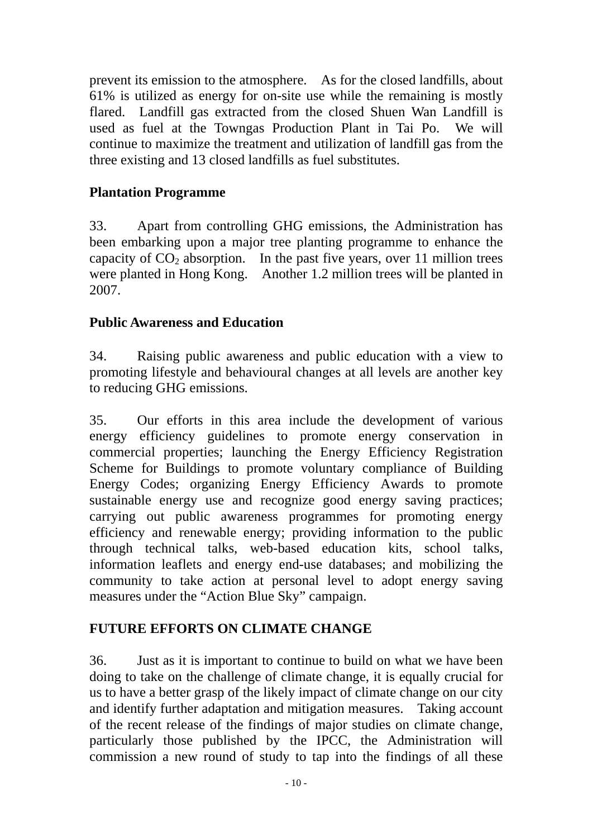prevent its emission to the atmosphere. As for the closed landfills, about 61% is utilized as energy for on-site use while the remaining is mostly flared. Landfill gas extracted from the closed Shuen Wan Landfill is used as fuel at the Towngas Production Plant in Tai Po. We will continue to maximize the treatment and utilization of landfill gas from the three existing and 13 closed landfills as fuel substitutes.

## **Plantation Programme**

33. Apart from controlling GHG emissions, the Administration has been embarking upon a major tree planting programme to enhance the capacity of  $CO<sub>2</sub>$  absorption. In the past five years, over 11 million trees were planted in Hong Kong. Another 1.2 million trees will be planted in 2007.

### **Public Awareness and Education**

34. Raising public awareness and public education with a view to promoting lifestyle and behavioural changes at all levels are another key to reducing GHG emissions.

35. Our efforts in this area include the development of various energy efficiency guidelines to promote energy conservation in commercial properties; launching the Energy Efficiency Registration Scheme for Buildings to promote voluntary compliance of Building Energy Codes; organizing Energy Efficiency Awards to promote sustainable energy use and recognize good energy saving practices; carrying out public awareness programmes for promoting energy efficiency and renewable energy; providing information to the public through technical talks, web-based education kits, school talks, information leaflets and energy end-use databases; and mobilizing the community to take action at personal level to adopt energy saving measures under the "Action Blue Sky" campaign.

# **FUTURE EFFORTS ON CLIMATE CHANGE**

36. Just as it is important to continue to build on what we have been doing to take on the challenge of climate change, it is equally crucial for us to have a better grasp of the likely impact of climate change on our city and identify further adaptation and mitigation measures. Taking account of the recent release of the findings of major studies on climate change, particularly those published by the IPCC, the Administration will commission a new round of study to tap into the findings of all these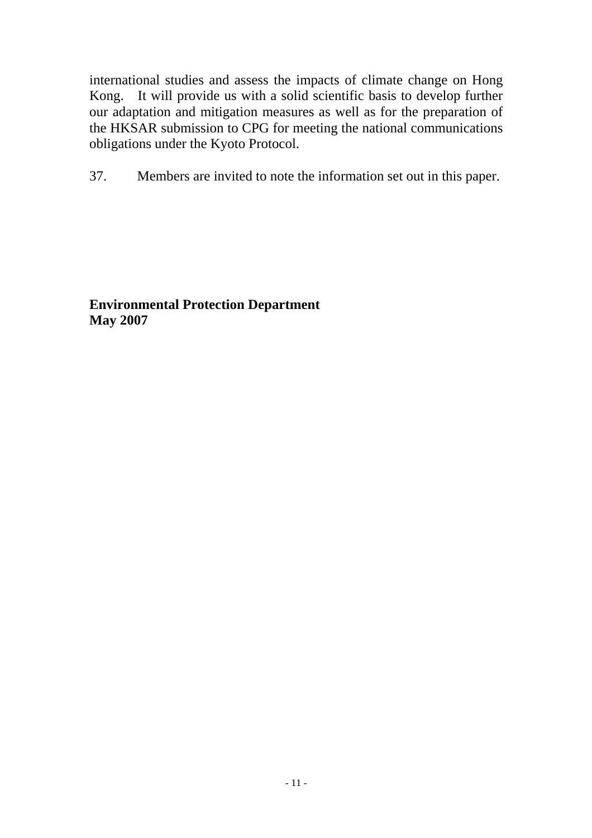international studies and assess the impacts of climate change on Hong Kong. It will provide us with a solid scientific basis to develop further our adaptation and mitigation measures as well as for the preparation of the HKSAR submission to CPG for meeting the national communications obligations under the Kyoto Protocol.

37. Members are invited to note the information set out in this paper.

**Environmental Protection Department May 2007**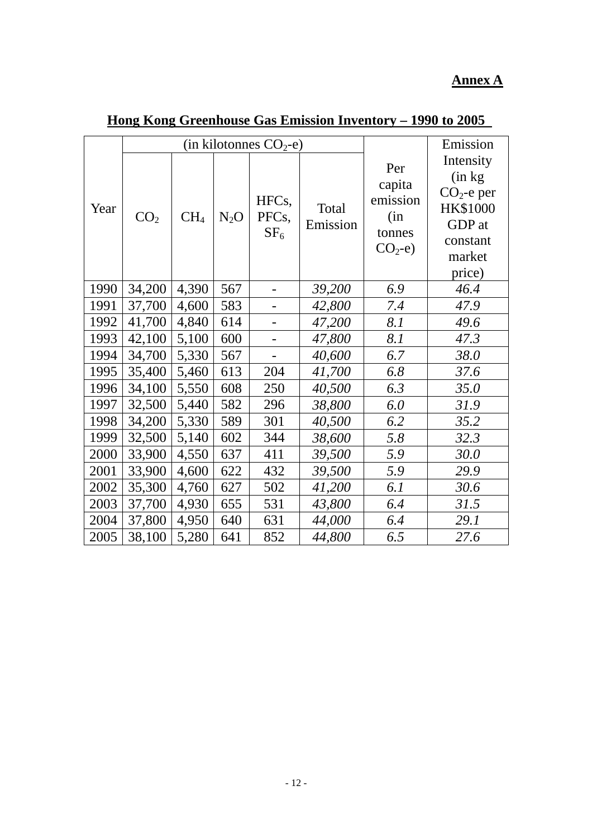# **Annex A**

|      | (in kilotonnes $CO_2$ -e) |                 |        |                                                |                   |                                                        | Emission                                                                                          |
|------|---------------------------|-----------------|--------|------------------------------------------------|-------------------|--------------------------------------------------------|---------------------------------------------------------------------------------------------------|
| Year | CO <sub>2</sub>           | CH <sub>4</sub> | $N_2O$ | HFC <sub>s</sub> ,<br>PFCs,<br>SF <sub>6</sub> | Total<br>Emission | Per<br>capita<br>emission<br>(in<br>tonnes<br>$CO2-e)$ | Intensity<br>(in kg)<br>$CO2$ -e per<br><b>HK\$1000</b><br>GDP at<br>constant<br>market<br>price) |
| 1990 | 34,200                    | 4,390           | 567    |                                                | 39,200            | 6.9                                                    | 46.4                                                                                              |
| 1991 | 37,700                    | 4,600           | 583    |                                                | 42,800            | 7.4                                                    | 47.9                                                                                              |
| 1992 | 41,700                    | 4,840           | 614    |                                                | 47,200            | 8.1                                                    | 49.6                                                                                              |
| 1993 | 42,100                    | 5,100           | 600    |                                                | 47,800            | 8.1                                                    | 47.3                                                                                              |
| 1994 | 34,700                    | 5,330           | 567    |                                                | 40,600            | 6.7                                                    | 38.0                                                                                              |
| 1995 | 35,400                    | 5,460           | 613    | 204                                            | 41,700            | 6.8                                                    | 37.6                                                                                              |
| 1996 | 34,100                    | 5,550           | 608    | 250                                            | 40,500            | 6.3                                                    | 35.0                                                                                              |
| 1997 | 32,500                    | 5,440           | 582    | 296                                            | 38,800            | 6.0                                                    | 31.9                                                                                              |
| 1998 | 34,200                    | 5,330           | 589    | 301                                            | 40,500            | 6.2                                                    | 35.2                                                                                              |
| 1999 | 32,500                    | 5,140           | 602    | 344                                            | 38,600            | 5.8                                                    | 32.3                                                                                              |
| 2000 | 33,900                    | 4,550           | 637    | 411                                            | 39,500            | 5.9                                                    | 30.0                                                                                              |
| 2001 | 33,900                    | 4,600           | 622    | 432                                            | 39,500            | 5.9                                                    | 29.9                                                                                              |
| 2002 | 35,300                    | 4,760           | 627    | 502                                            | 41,200            | 6.1                                                    | 30.6                                                                                              |
| 2003 | 37,700                    | 4,930           | 655    | 531                                            | 43,800            | 6.4                                                    | 31.5                                                                                              |
| 2004 | 37,800                    | 4,950           | 640    | 631                                            | 44,000            | 6.4                                                    | 29.1                                                                                              |
| 2005 | 38,100                    | 5,280           | 641    | 852                                            | 44,800            | 6.5                                                    | 27.6                                                                                              |

# **Hong Kong Greenhouse Gas Emission Inventory – 1990 to 2005**